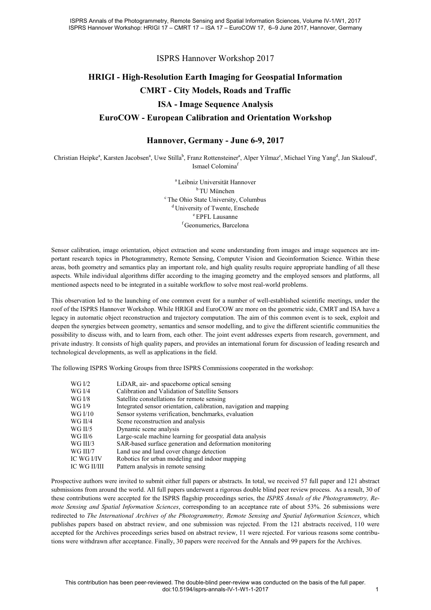ISPRS Hannover Workshop 2017

## **HRIGI - High-Resolution Earth Imaging for Geospatial Information CMRT - City Models, Roads and Traffic ISA - Image Sequence Analysis EuroCOW - European Calibration and Orientation Workshop**

## **Hannover, Germany - June 6-9, 2017**

Christian Heipke<sup>a</sup>, Karsten Jacobsen<sup>a</sup>, Uwe Stilla<sup>b</sup>, Franz Rottensteiner<sup>a</sup>, Alper Yilmaz<sup>c</sup>, Michael Ying Yang<sup>d</sup>, Jan Skaloud<sup>e</sup>, Ismael Colomina<sup>f</sup>

> a Leibniz Universität Hannover b TU München c The Ohio State University, Columbus <sup>d</sup> University of Twente, Enschede <sup>e</sup> EPFL Lausanne f Geonumerics, Barcelona

Sensor calibration, image orientation, object extraction and scene understanding from images and image sequences are important research topics in Photogrammetry, Remote Sensing, Computer Vision and Geoinformation Science. Within these areas, both geometry and semantics play an important role, and high quality results require appropriate handling of all these aspects. While individual algorithms differ according to the imaging geometry and the employed sensors and platforms, all mentioned aspects need to be integrated in a suitable workflow to solve most real-world problems.

This observation led to the launching of one common event for a number of well-established scientific meetings, under the roof of the ISPRS Hannover Workshop. While HRIGI and EuroCOW are more on the geometric side, CMRT and ISA have a legacy in automatic object reconstruction and trajectory computation. The aim of this common event is to seek, exploit and deepen the synergies between geometry, semantics and sensor modelling, and to give the different scientific communities the possibility to discuss with, and to learn from, each other. The joint event addresses experts from research, government, and private industry. It consists of high quality papers, and provides an international forum for discussion of leading research and technological developments, as well as applications in the field.

The following ISPRS Working Groups from three ISPRS Commissions cooperated in the workshop:

| WG I/2       | LiDAR, air- and spaceborne optical sensing                         |
|--------------|--------------------------------------------------------------------|
| WG I/4       | Calibration and Validation of Satellite Sensors                    |
| WG I/8       | Satellite constellations for remote sensing                        |
| WG I/9       | Integrated sensor orientation, calibration, navigation and mapping |
| WG I/10      | Sensor systems verification, benchmarks, evaluation                |
| WG II/4      | Scene reconstruction and analysis                                  |
| WG II/5      | Dynamic scene analysis                                             |
| WG II/6      | Large-scale machine learning for geospatial data analysis          |
| WG III/3     | SAR-based surface generation and deformation monitoring            |
| WG III/7     | Land use and land cover change detection                           |
| IC WG I/IV   | Robotics for urban modeling and indoor mapping                     |
| IC WG II/III | Pattern analysis in remote sensing                                 |

Prospective authors were invited to submit either full papers or abstracts. In total, we received 57 full paper and 121 abstract submissions from around the world. All full papers underwent a rigorous double blind peer review process. As a result, 30 of these contributions were accepted for the ISPRS flagship proceedings series, the *ISPRS Annals of the Photogrammetry, Remote Sensing and Spatial Information Sciences*, corresponding to an acceptance rate of about 53%. 26 submissions were redirected to *The International Archives of the Photogrammetry, Remote Sensing and Spatial Information Sciences*, which publishes papers based on abstract review, and one submission was rejected. From the 121 abstracts received, 110 were accepted for the Archives proceedings series based on abstract review, 11 were rejected. For various reasons some contributions were withdrawn after acceptance. Finally, 30 papers were received for the Annals and 99 papers for the Archives.